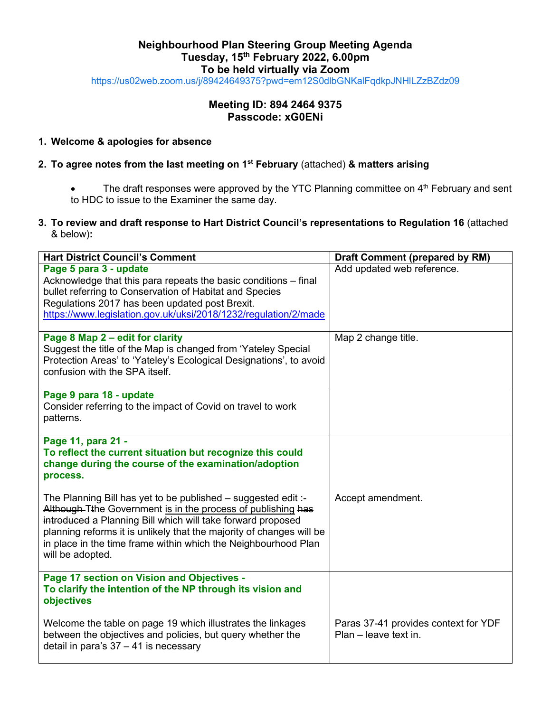## **Neighbourhood Plan Steering Group Meeting Agenda Tuesday, 15th February 2022, 6.00pm To be held virtually via Zoom**

<https://us02web.zoom.us/j/89424649375?pwd=em12S0dlbGNKalFqdkpJNHlLZzBZdz09>

# **Meeting ID: 894 2464 9375 Passcode: xG0ENi**

#### **1. Welcome & apologies for absence**

#### **2. To agree notes from the last meeting on 1 st February** (attached) **& matters arising**

The draft responses were approved by the YTC Planning committee on 4<sup>th</sup> February and sent to HDC to issue to the Examiner the same day.

### **3. To review and draft response to Hart District Council's representations to Regulation 16** (attached & below)**:**

| <b>Hart District Council's Comment</b>                                                                                                                                                                                                                                                                                                                     | <b>Draft Comment (prepared by RM)</b>                         |
|------------------------------------------------------------------------------------------------------------------------------------------------------------------------------------------------------------------------------------------------------------------------------------------------------------------------------------------------------------|---------------------------------------------------------------|
| Page 5 para 3 - update<br>Acknowledge that this para repeats the basic conditions - final<br>bullet referring to Conservation of Habitat and Species<br>Regulations 2017 has been updated post Brexit.<br>https://www.legislation.gov.uk/uksi/2018/1232/regulation/2/made                                                                                  | Add updated web reference.                                    |
| Page 8 Map 2 - edit for clarity<br>Suggest the title of the Map is changed from 'Yateley Special<br>Protection Areas' to 'Yateley's Ecological Designations', to avoid<br>confusion with the SPA itself.                                                                                                                                                   | Map 2 change title.                                           |
| Page 9 para 18 - update<br>Consider referring to the impact of Covid on travel to work<br>patterns.                                                                                                                                                                                                                                                        |                                                               |
| Page 11, para 21 -<br>To reflect the current situation but recognize this could<br>change during the course of the examination/adoption<br>process.                                                                                                                                                                                                        |                                                               |
| The Planning Bill has yet to be published - suggested edit :-<br>Although-Tthe Government is in the process of publishing has<br>introduced a Planning Bill which will take forward proposed<br>planning reforms it is unlikely that the majority of changes will be<br>in place in the time frame within which the Neighbourhood Plan<br>will be adopted. | Accept amendment.                                             |
| Page 17 section on Vision and Objectives -<br>To clarify the intention of the NP through its vision and<br>objectives                                                                                                                                                                                                                                      |                                                               |
| Welcome the table on page 19 which illustrates the linkages<br>between the objectives and policies, but query whether the<br>detail in para's $37 - 41$ is necessary                                                                                                                                                                                       | Paras 37-41 provides context for YDF<br>Plan - leave text in. |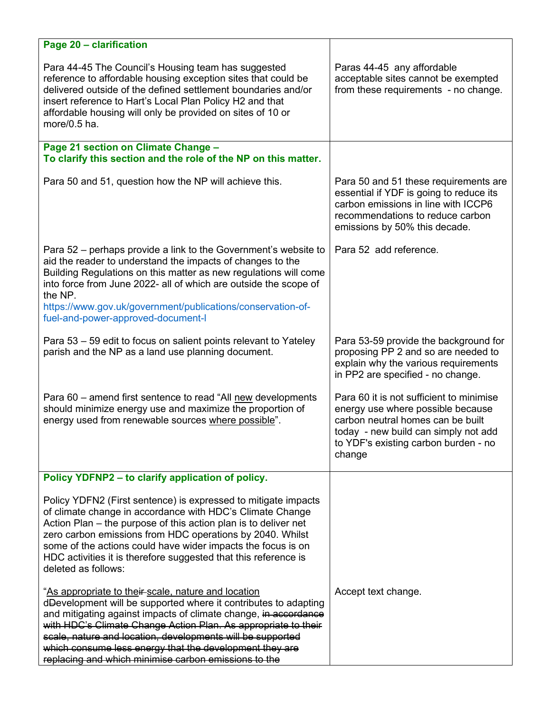| Page 20 - clarification                                                                                                                                                                                                                                                                                                                                                                                                                      |                                                                                                                                                                                                              |
|----------------------------------------------------------------------------------------------------------------------------------------------------------------------------------------------------------------------------------------------------------------------------------------------------------------------------------------------------------------------------------------------------------------------------------------------|--------------------------------------------------------------------------------------------------------------------------------------------------------------------------------------------------------------|
| Para 44-45 The Council's Housing team has suggested<br>reference to affordable housing exception sites that could be<br>delivered outside of the defined settlement boundaries and/or<br>insert reference to Hart's Local Plan Policy H2 and that<br>affordable housing will only be provided on sites of 10 or<br>more/ $0.5$ ha.                                                                                                           | Paras 44-45 any affordable<br>acceptable sites cannot be exempted<br>from these requirements - no change.                                                                                                    |
| Page 21 section on Climate Change -<br>To clarify this section and the role of the NP on this matter.                                                                                                                                                                                                                                                                                                                                        |                                                                                                                                                                                                              |
| Para 50 and 51, question how the NP will achieve this.                                                                                                                                                                                                                                                                                                                                                                                       | Para 50 and 51 these requirements are<br>essential if YDF is going to reduce its<br>carbon emissions in line with ICCP6<br>recommendations to reduce carbon<br>emissions by 50% this decade.                 |
| Para 52 – perhaps provide a link to the Government's website to<br>aid the reader to understand the impacts of changes to the<br>Building Regulations on this matter as new regulations will come<br>into force from June 2022- all of which are outside the scope of<br>the NP.<br>https://www.gov.uk/government/publications/conservation-of-<br>fuel-and-power-approved-document-I                                                        | Para 52 add reference.                                                                                                                                                                                       |
| Para 53 – 59 edit to focus on salient points relevant to Yateley<br>parish and the NP as a land use planning document.                                                                                                                                                                                                                                                                                                                       | Para 53-59 provide the background for<br>proposing PP 2 and so are needed to<br>explain why the various requirements<br>in PP2 are specified - no change.                                                    |
| Para 60 – amend first sentence to read "All new developments<br>should minimize energy use and maximize the proportion of<br>energy used from renewable sources where possible".                                                                                                                                                                                                                                                             | Para 60 it is not sufficient to minimise<br>energy use where possible because<br>carbon neutral homes can be built<br>today - new build can simply not add<br>to YDF's existing carbon burden - no<br>change |
| Policy YDFNP2 - to clarify application of policy.                                                                                                                                                                                                                                                                                                                                                                                            |                                                                                                                                                                                                              |
| Policy YDFN2 (First sentence) is expressed to mitigate impacts<br>of climate change in accordance with HDC's Climate Change<br>Action Plan – the purpose of this action plan is to deliver net<br>zero carbon emissions from HDC operations by 2040. Whilst<br>some of the actions could have wider impacts the focus is on<br>HDC activities it is therefore suggested that this reference is<br>deleted as follows:                        |                                                                                                                                                                                                              |
| "As appropriate to their-scale, nature and location<br>dDevelopment will be supported where it contributes to adapting<br>and mitigating against impacts of climate change, in accordance<br>with HDC's Climate Change Action Plan. As appropriate to their<br>scale, nature and location, developments will be supported<br>which consume less energy that the development they are<br>replacing and which minimise carbon emissions to the | Accept text change.                                                                                                                                                                                          |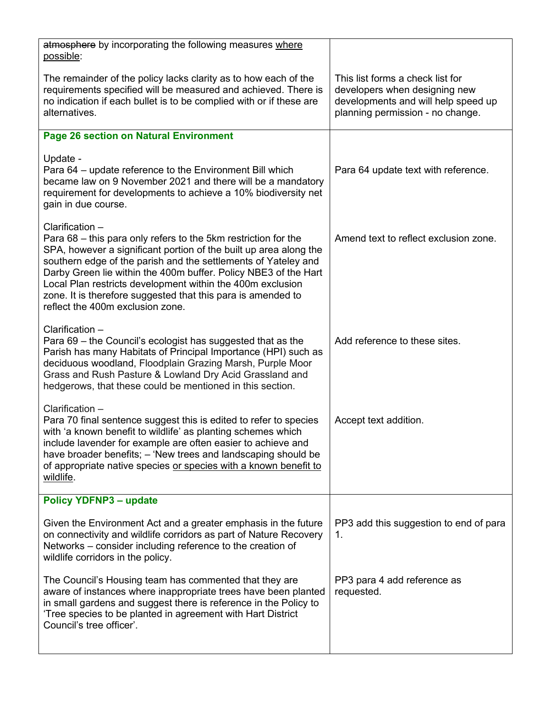| atmosphere by incorporating the following measures where<br>possible:                                                                                                                                                                                                                                                                                                                                                                                         |                                                                                                                                              |
|---------------------------------------------------------------------------------------------------------------------------------------------------------------------------------------------------------------------------------------------------------------------------------------------------------------------------------------------------------------------------------------------------------------------------------------------------------------|----------------------------------------------------------------------------------------------------------------------------------------------|
| The remainder of the policy lacks clarity as to how each of the<br>requirements specified will be measured and achieved. There is<br>no indication if each bullet is to be complied with or if these are<br>alternatives.                                                                                                                                                                                                                                     | This list forms a check list for<br>developers when designing new<br>developments and will help speed up<br>planning permission - no change. |
| <b>Page 26 section on Natural Environment</b>                                                                                                                                                                                                                                                                                                                                                                                                                 |                                                                                                                                              |
| Update -<br>Para 64 – update reference to the Environment Bill which<br>became law on 9 November 2021 and there will be a mandatory<br>requirement for developments to achieve a 10% biodiversity net<br>gain in due course.                                                                                                                                                                                                                                  | Para 64 update text with reference.                                                                                                          |
| Clarification -<br>Para 68 – this para only refers to the 5km restriction for the<br>SPA, however a significant portion of the built up area along the<br>southern edge of the parish and the settlements of Yateley and<br>Darby Green lie within the 400m buffer. Policy NBE3 of the Hart<br>Local Plan restricts development within the 400m exclusion<br>zone. It is therefore suggested that this para is amended to<br>reflect the 400m exclusion zone. | Amend text to reflect exclusion zone.                                                                                                        |
| Clarification -<br>Para 69 – the Council's ecologist has suggested that as the<br>Parish has many Habitats of Principal Importance (HPI) such as<br>deciduous woodland, Floodplain Grazing Marsh, Purple Moor<br>Grass and Rush Pasture & Lowland Dry Acid Grassland and<br>hedgerows, that these could be mentioned in this section.                                                                                                                         | Add reference to these sites.                                                                                                                |
| Clarification -<br>Para 70 final sentence suggest this is edited to refer to species<br>with 'a known benefit to wildlife' as planting schemes which<br>include lavender for example are often easier to achieve and<br>have broader benefits; - 'New trees and landscaping should be<br>of appropriate native species or species with a known benefit to<br>wildlife.                                                                                        | Accept text addition.                                                                                                                        |
| <b>Policy YDFNP3 - update</b>                                                                                                                                                                                                                                                                                                                                                                                                                                 |                                                                                                                                              |
| Given the Environment Act and a greater emphasis in the future<br>on connectivity and wildlife corridors as part of Nature Recovery<br>Networks – consider including reference to the creation of<br>wildlife corridors in the policy.                                                                                                                                                                                                                        | PP3 add this suggestion to end of para<br>1.                                                                                                 |
| The Council's Housing team has commented that they are<br>aware of instances where inappropriate trees have been planted<br>in small gardens and suggest there is reference in the Policy to<br>'Tree species to be planted in agreement with Hart District<br>Council's tree officer'.                                                                                                                                                                       | PP3 para 4 add reference as<br>requested.                                                                                                    |
|                                                                                                                                                                                                                                                                                                                                                                                                                                                               |                                                                                                                                              |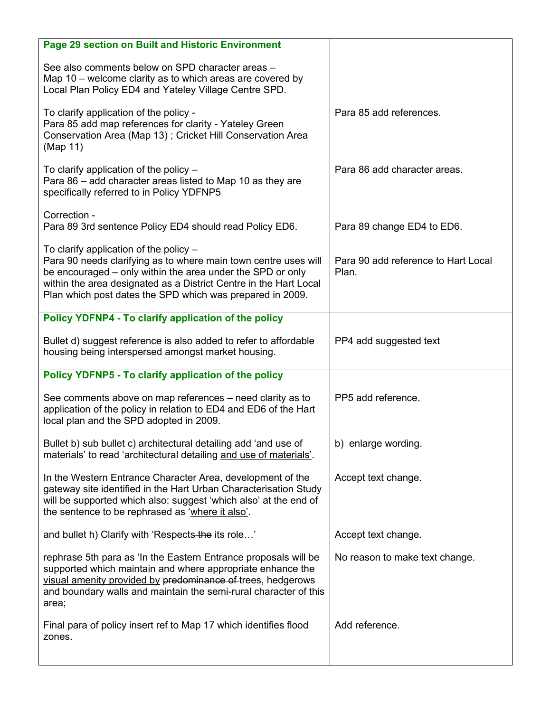| Page 29 section on Built and Historic Environment                                                                                                                                                                                                                                                         |                                              |
|-----------------------------------------------------------------------------------------------------------------------------------------------------------------------------------------------------------------------------------------------------------------------------------------------------------|----------------------------------------------|
| See also comments below on SPD character areas -<br>Map 10 – welcome clarity as to which areas are covered by<br>Local Plan Policy ED4 and Yateley Village Centre SPD.                                                                                                                                    |                                              |
| To clarify application of the policy -<br>Para 85 add map references for clarity - Yateley Green<br>Conservation Area (Map 13); Cricket Hill Conservation Area<br>(Map 11)                                                                                                                                | Para 85 add references.                      |
| To clarify application of the policy -<br>Para 86 – add character areas listed to Map 10 as they are<br>specifically referred to in Policy YDFNP5                                                                                                                                                         | Para 86 add character areas.                 |
| Correction -<br>Para 89 3rd sentence Policy ED4 should read Policy ED6.                                                                                                                                                                                                                                   | Para 89 change ED4 to ED6.                   |
| To clarify application of the policy -<br>Para 90 needs clarifying as to where main town centre uses will<br>be encouraged – only within the area under the SPD or only<br>within the area designated as a District Centre in the Hart Local<br>Plan which post dates the SPD which was prepared in 2009. | Para 90 add reference to Hart Local<br>Plan. |
| Policy YDFNP4 - To clarify application of the policy                                                                                                                                                                                                                                                      |                                              |
| Bullet d) suggest reference is also added to refer to affordable<br>housing being interspersed amongst market housing.                                                                                                                                                                                    | PP4 add suggested text                       |
| Policy YDFNP5 - To clarify application of the policy                                                                                                                                                                                                                                                      |                                              |
| See comments above on map references – need clarity as to<br>application of the policy in relation to ED4 and ED6 of the Hart<br>local plan and the SPD adopted in 2009.                                                                                                                                  | PP5 add reference.                           |
| Bullet b) sub bullet c) architectural detailing add 'and use of<br>materials' to read 'architectural detailing and use of materials'.                                                                                                                                                                     | b) enlarge wording.                          |
| In the Western Entrance Character Area, development of the<br>gateway site identified in the Hart Urban Characterisation Study<br>will be supported which also: suggest 'which also' at the end of<br>the sentence to be rephrased as 'where it also'.                                                    | Accept text change.                          |
| and bullet h) Clarify with 'Respects-the its role'                                                                                                                                                                                                                                                        | Accept text change.                          |
| rephrase 5th para as 'In the Eastern Entrance proposals will be<br>supported which maintain and where appropriate enhance the<br>visual amenity provided by predominance of trees, hedgerows<br>and boundary walls and maintain the semi-rural character of this<br>area;                                 | No reason to make text change.               |
| Final para of policy insert ref to Map 17 which identifies flood<br>zones.                                                                                                                                                                                                                                | Add reference.                               |
|                                                                                                                                                                                                                                                                                                           |                                              |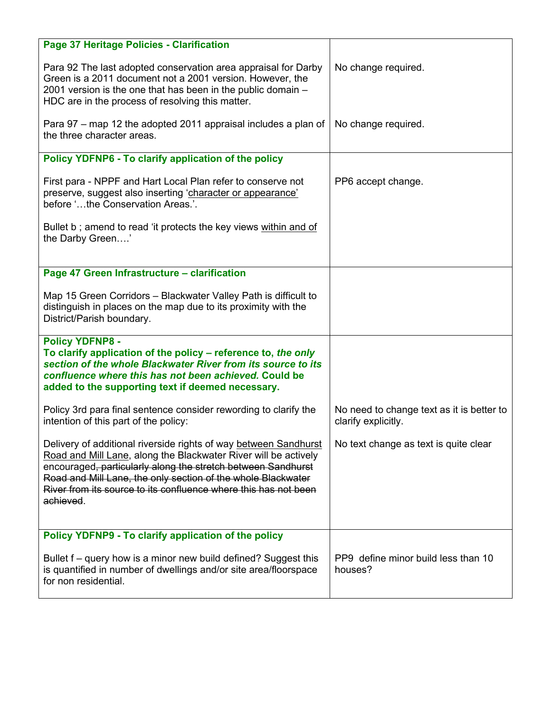| Page 37 Heritage Policies - Clarification                                                                                                                                                                                                                                                                                                           |                                                                  |
|-----------------------------------------------------------------------------------------------------------------------------------------------------------------------------------------------------------------------------------------------------------------------------------------------------------------------------------------------------|------------------------------------------------------------------|
| Para 92 The last adopted conservation area appraisal for Darby<br>Green is a 2011 document not a 2001 version. However, the<br>2001 version is the one that has been in the public domain -<br>HDC are in the process of resolving this matter.                                                                                                     | No change required.                                              |
| Para 97 – map 12 the adopted 2011 appraisal includes a plan of<br>the three character areas.                                                                                                                                                                                                                                                        | No change required.                                              |
| Policy YDFNP6 - To clarify application of the policy                                                                                                                                                                                                                                                                                                |                                                                  |
| First para - NPPF and Hart Local Plan refer to conserve not<br>preserve, suggest also inserting 'character or appearance'<br>before 'the Conservation Areas.'.                                                                                                                                                                                      | PP6 accept change.                                               |
| Bullet b; amend to read 'it protects the key views within and of<br>the Darby Green'                                                                                                                                                                                                                                                                |                                                                  |
| Page 47 Green Infrastructure - clarification                                                                                                                                                                                                                                                                                                        |                                                                  |
| Map 15 Green Corridors - Blackwater Valley Path is difficult to<br>distinguish in places on the map due to its proximity with the<br>District/Parish boundary.                                                                                                                                                                                      |                                                                  |
| <b>Policy YDFNP8 -</b><br>To clarify application of the policy – reference to, the only<br>section of the whole Blackwater River from its source to its<br>confluence where this has not been achieved. Could be<br>added to the supporting text if deemed necessary.                                                                               |                                                                  |
| Policy 3rd para final sentence consider rewording to clarify the<br>intention of this part of the policy:                                                                                                                                                                                                                                           | No need to change text as it is better to<br>clarify explicitly. |
| Delivery of additional riverside rights of way between Sandhurst<br>Road and Mill Lane, along the Blackwater River will be actively<br>encouraged, particularly along the stretch between Sandhurst<br>Road and Mill Lane, the only section of the whole Blackwater<br>River from its source to its confluence where this has not been<br>achieved. | No text change as text is quite clear                            |
| Policy YDFNP9 - To clarify application of the policy                                                                                                                                                                                                                                                                                                |                                                                  |
| Bullet f – query how is a minor new build defined? Suggest this<br>is quantified in number of dwellings and/or site area/floorspace<br>for non residential.                                                                                                                                                                                         | PP9 define minor build less than 10<br>houses?                   |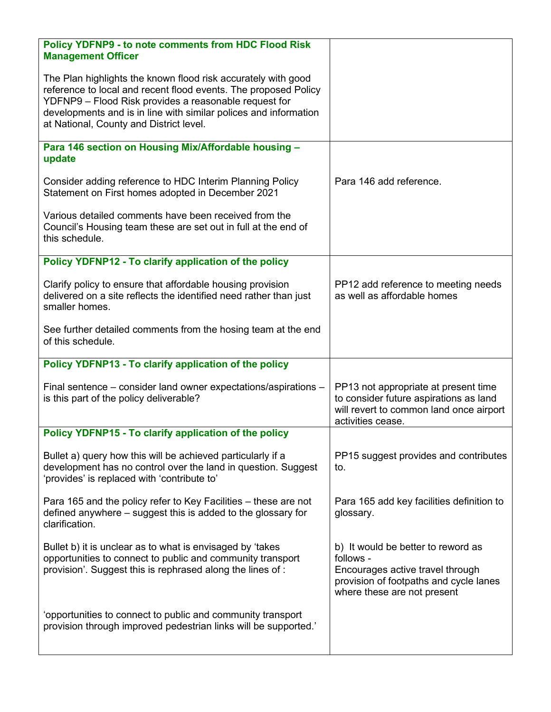| <b>Policy YDFNP9 - to note comments from HDC Flood Risk</b><br><b>Management Officer</b>                                                                                                                                                                                                                 |                                                                                                                                                              |
|----------------------------------------------------------------------------------------------------------------------------------------------------------------------------------------------------------------------------------------------------------------------------------------------------------|--------------------------------------------------------------------------------------------------------------------------------------------------------------|
| The Plan highlights the known flood risk accurately with good<br>reference to local and recent flood events. The proposed Policy<br>YDFNP9 - Flood Risk provides a reasonable request for<br>developments and is in line with similar polices and information<br>at National, County and District level. |                                                                                                                                                              |
| Para 146 section on Housing Mix/Affordable housing -<br>update                                                                                                                                                                                                                                           |                                                                                                                                                              |
| Consider adding reference to HDC Interim Planning Policy<br>Statement on First homes adopted in December 2021                                                                                                                                                                                            | Para 146 add reference.                                                                                                                                      |
| Various detailed comments have been received from the<br>Council's Housing team these are set out in full at the end of<br>this schedule.                                                                                                                                                                |                                                                                                                                                              |
| Policy YDFNP12 - To clarify application of the policy                                                                                                                                                                                                                                                    |                                                                                                                                                              |
| Clarify policy to ensure that affordable housing provision<br>delivered on a site reflects the identified need rather than just<br>smaller homes.                                                                                                                                                        | PP12 add reference to meeting needs<br>as well as affordable homes                                                                                           |
| See further detailed comments from the hosing team at the end<br>of this schedule.                                                                                                                                                                                                                       |                                                                                                                                                              |
| Policy YDFNP13 - To clarify application of the policy                                                                                                                                                                                                                                                    |                                                                                                                                                              |
| Final sentence – consider land owner expectations/aspirations –<br>is this part of the policy deliverable?                                                                                                                                                                                               | PP13 not appropriate at present time<br>to consider future aspirations as land<br>will revert to common land once airport<br>activities cease.               |
| Policy YDFNP15 - To clarify application of the policy                                                                                                                                                                                                                                                    |                                                                                                                                                              |
| Bullet a) query how this will be achieved particularly if a<br>development has no control over the land in question. Suggest<br>'provides' is replaced with 'contribute to'                                                                                                                              | PP15 suggest provides and contributes<br>to.                                                                                                                 |
| Para 165 and the policy refer to Key Facilities – these are not<br>defined anywhere – suggest this is added to the glossary for<br>clarification.                                                                                                                                                        | Para 165 add key facilities definition to<br>glossary.                                                                                                       |
| Bullet b) it is unclear as to what is envisaged by 'takes<br>opportunities to connect to public and community transport<br>provision'. Suggest this is rephrased along the lines of:                                                                                                                     | b) It would be better to reword as<br>follows -<br>Encourages active travel through<br>provision of footpaths and cycle lanes<br>where these are not present |
| 'opportunities to connect to public and community transport<br>provision through improved pedestrian links will be supported.'                                                                                                                                                                           |                                                                                                                                                              |